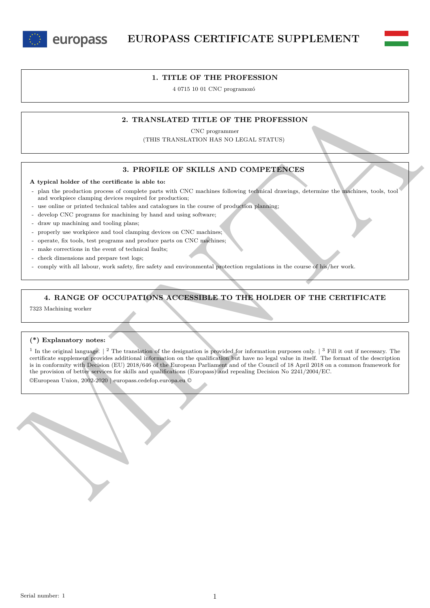



4 0715 10 01 CNC programozó

## **2. TRANSLATED TITLE OF THE PROFESSION**

CNC programmer (THIS TRANSLATION HAS NO LEGAL STATUS)

### **3. PROFILE OF SKILLS AND COMPETENCES**

#### **A typical holder of the certificate is able to:**

- plan the production process of complete parts with CNC machines following technical drawings, determine the machines, tools, tool and workpiece clamping devices required for production;
- use online or printed technical tables and catalogues in the course of production planning;
- develop CNC programs for machining by hand and using software;
- draw up machining and tooling plans;

europass

- properly use workpiece and tool clamping devices on CNC machines;
- operate, fix tools, test programs and produce parts on CNC machines;
- make corrections in the event of technical faults;
- check dimensions and prepare test logs;
- comply with all labour, work safety, fire safety and environmental protection regulations in the course of his/her work.

### **4. RANGE OF OCCUPATIONS ACCESSIBLE TO THE HOLDER OF THE CERTIFICATE**

7323 Machining worker

#### **(\*) Explanatory notes:**

2. TRANSLATED TITLE OF THE PROFESSION<br>
(THIS TRANSLATED TITLE OF THE PROFESSION<br>
(THIS TRANSLATED TITLE OF THE PROFESSION<br>
3. PROFILE OF SKILLS AND COMPREENCES<br>
A typical holder of the centron ground of angular game on  $C$ <sup>1</sup> In the original language.  $\vert$  <sup>2</sup> The translation of the designation is provided for information purposes only.  $\vert$  <sup>3</sup> Fill it out if necessary. The certificate supplement provides additional information on the qualification but have no legal value in itself. The format of the description is in conformity with Decision (EU) 2018/646 of the European Parliament and of the Council of 18 April 2018 on a common framework for the provision of better services for skills and qualifications (Europass) and repealing Decision No 2241/2004/EC.

©European Union, 2002-2020 | europass.cedefop.europa.eu ©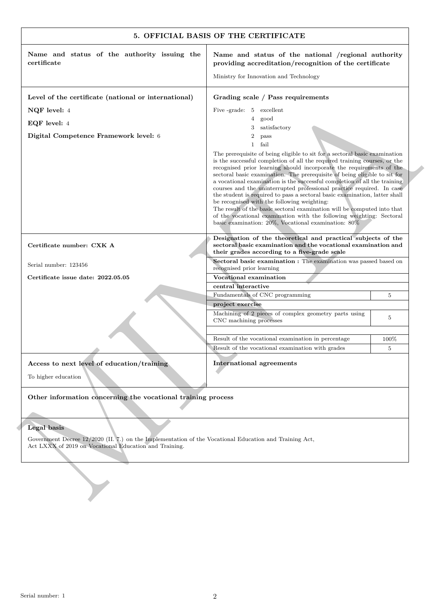| Name and status of the authority issuing the                                                                          | Name and status of the national /regional authority                                                                                                                                                                                                                                                                                                                                                                                                                                                                                                                                                                                                                                                                                                                                                              |                |
|-----------------------------------------------------------------------------------------------------------------------|------------------------------------------------------------------------------------------------------------------------------------------------------------------------------------------------------------------------------------------------------------------------------------------------------------------------------------------------------------------------------------------------------------------------------------------------------------------------------------------------------------------------------------------------------------------------------------------------------------------------------------------------------------------------------------------------------------------------------------------------------------------------------------------------------------------|----------------|
| certificate                                                                                                           | providing accreditation/recognition of the certificate                                                                                                                                                                                                                                                                                                                                                                                                                                                                                                                                                                                                                                                                                                                                                           |                |
|                                                                                                                       | Ministry for Innovation and Technology                                                                                                                                                                                                                                                                                                                                                                                                                                                                                                                                                                                                                                                                                                                                                                           |                |
| Level of the certificate (national or international)                                                                  | Grading scale / Pass requirements                                                                                                                                                                                                                                                                                                                                                                                                                                                                                                                                                                                                                                                                                                                                                                                |                |
| NQF level: 4                                                                                                          | Five -grade: 5 excellent                                                                                                                                                                                                                                                                                                                                                                                                                                                                                                                                                                                                                                                                                                                                                                                         |                |
| EQF level: 4                                                                                                          | good<br>4<br>satisfactory<br>3                                                                                                                                                                                                                                                                                                                                                                                                                                                                                                                                                                                                                                                                                                                                                                                   |                |
| Digital Competence Framework level: 6                                                                                 | 2<br>pass                                                                                                                                                                                                                                                                                                                                                                                                                                                                                                                                                                                                                                                                                                                                                                                                        |                |
|                                                                                                                       | fail<br>$\mathbf{1}$                                                                                                                                                                                                                                                                                                                                                                                                                                                                                                                                                                                                                                                                                                                                                                                             |                |
|                                                                                                                       | The prerequisite of being eligible to sit for a sectoral basic examination<br>is the successful completion of all the required training courses, or the<br>recognised prior learning should incorporate the requirements of the<br>sectoral basic examination. The prerequisite of being eligible to sit for<br>a vocational examination is the successful completion of all the training<br>courses and the uninterrupted professional practice required. In case<br>the student is required to pass a sectoral basic examination, latter shall<br>be recognised with the following weighting:<br>The result of the basic sectoral examination will be computed into that<br>of the vocational examination with the following weighting: Sectoral<br>basic examination: $20\%$ , Vocational examination: $80\%$ |                |
| Certificate number: CXK A                                                                                             | Designation of the theoretical and practical subjects of the<br>sectoral basic examination and the vocational examination and<br>their grades according to a five-grade scale                                                                                                                                                                                                                                                                                                                                                                                                                                                                                                                                                                                                                                    |                |
| Serial number: 123456                                                                                                 | Sectoral basic examination : The examination was passed based on<br>recognised prior learning                                                                                                                                                                                                                                                                                                                                                                                                                                                                                                                                                                                                                                                                                                                    |                |
| Certificate issue date: 2022.05.05                                                                                    | Vocational examination                                                                                                                                                                                                                                                                                                                                                                                                                                                                                                                                                                                                                                                                                                                                                                                           |                |
|                                                                                                                       | central interactive<br>Fundamentals of CNC programming                                                                                                                                                                                                                                                                                                                                                                                                                                                                                                                                                                                                                                                                                                                                                           | 5              |
|                                                                                                                       | project exercise                                                                                                                                                                                                                                                                                                                                                                                                                                                                                                                                                                                                                                                                                                                                                                                                 |                |
|                                                                                                                       | Machining of 2 pieces of complex geometry parts using<br>CNC machining processes                                                                                                                                                                                                                                                                                                                                                                                                                                                                                                                                                                                                                                                                                                                                 | 5              |
|                                                                                                                       | Result of the vocational examination in percentage                                                                                                                                                                                                                                                                                                                                                                                                                                                                                                                                                                                                                                                                                                                                                               | 100%           |
|                                                                                                                       | Result of the vocational examination with grades                                                                                                                                                                                                                                                                                                                                                                                                                                                                                                                                                                                                                                                                                                                                                                 | $\overline{5}$ |
| Access to next level of education/training<br>To higher education                                                     | <b>International agreements</b>                                                                                                                                                                                                                                                                                                                                                                                                                                                                                                                                                                                                                                                                                                                                                                                  |                |
| Other information concerning the vocational training process                                                          |                                                                                                                                                                                                                                                                                                                                                                                                                                                                                                                                                                                                                                                                                                                                                                                                                  |                |
|                                                                                                                       |                                                                                                                                                                                                                                                                                                                                                                                                                                                                                                                                                                                                                                                                                                                                                                                                                  |                |
| Legal basis<br>Government Decree 12/2020 (II. 7.) on the Implementation of the Vocational Education and Training Act, |                                                                                                                                                                                                                                                                                                                                                                                                                                                                                                                                                                                                                                                                                                                                                                                                                  |                |
| Act LXXX of 2019 on Vocational Education and Training.                                                                |                                                                                                                                                                                                                                                                                                                                                                                                                                                                                                                                                                                                                                                                                                                                                                                                                  |                |
|                                                                                                                       |                                                                                                                                                                                                                                                                                                                                                                                                                                                                                                                                                                                                                                                                                                                                                                                                                  |                |
|                                                                                                                       |                                                                                                                                                                                                                                                                                                                                                                                                                                                                                                                                                                                                                                                                                                                                                                                                                  |                |